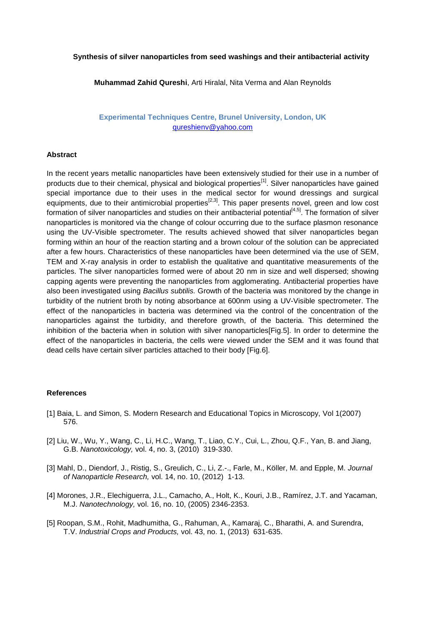## **Synthesis of silver nanoparticles from seed washings and their antibacterial activity**

**Muhammad Zahid Qureshi**, Arti Hiralal, Nita Verma and Alan Reynolds

**Experimental Techniques Centre, Brunel University, London, UK**  [qureshienv@yahoo.com](mailto:Contact@E-mail)

## **Abstract**

In the recent years metallic nanoparticles have been extensively studied for their use in a number of products due to their chemical, physical and biological properties<sup>[1]</sup>. Silver nanoparticles have gained special importance due to their uses in the medical sector for wound dressings and surgical equipments, due to their antimicrobial properties<sup>[2,3]</sup>. This paper presents novel, green and low cost formation of silver nanoparticles and studies on their antibacterial potential<sup>[4,5]</sup>. The formation of silver nanoparticles is monitored via the change of colour occurring due to the surface plasmon resonance using the UV-Visible spectrometer. The results achieved showed that silver nanoparticles began forming within an hour of the reaction starting and a brown colour of the solution can be appreciated after a few hours. Characteristics of these nanoparticles have been determined via the use of SEM, TEM and X-ray analysis in order to establish the qualitative and quantitative measurements of the particles. The silver nanoparticles formed were of about 20 nm in size and well dispersed; showing capping agents were preventing the nanoparticles from agglomerating. Antibacterial properties have also been investigated using *Bacillus subtilis.* Growth of the bacteria was monitored by the change in turbidity of the nutrient broth by noting absorbance at 600nm using a UV-Visible spectrometer. The effect of the nanoparticles in bacteria was determined via the control of the concentration of the nanoparticles against the turbidity, and therefore growth, of the bacteria. This determined the inhibition of the bacteria when in solution with silver nanoparticles[Fig.5]. In order to determine the effect of the nanoparticles in bacteria, the cells were viewed under the SEM and it was found that dead cells have certain silver particles attached to their body [Fig.6].

## **References**

- [1] Baia, L. and Simon, S. Modern Research and Educational Topics in Microscopy, Vol 1(2007) 576.
- [2] Liu, W., Wu, Y., Wang, C., Li, H.C., Wang, T., Liao, C.Y., Cui, L., Zhou, Q.F., Yan, B. and Jiang, G.B. *Nanotoxicology,* vol. 4, no. 3, (2010) 319-330.
- [3] Mahl, D., Diendorf, J., Ristig, S., Greulich, C., Li, Z.-., Farle, M., Köller, M. and Epple, M. *Journal of Nanoparticle Research,* vol. 14, no. 10, (2012) 1-13.
- [4] Morones, J.R., Elechiguerra, J.L., Camacho, A., Holt, K., Kouri, J.B., Ramírez, J.T. and Yacaman, M.J. *Nanotechnology,* vol. 16, no. 10, (2005) 2346-2353.
- [5] Roopan, S.M., Rohit, Madhumitha, G., Rahuman, A., Kamaraj, C., Bharathi, A. and Surendra, T.V. *Industrial Crops and Products,* vol. 43, no. 1, (2013) 631-635.